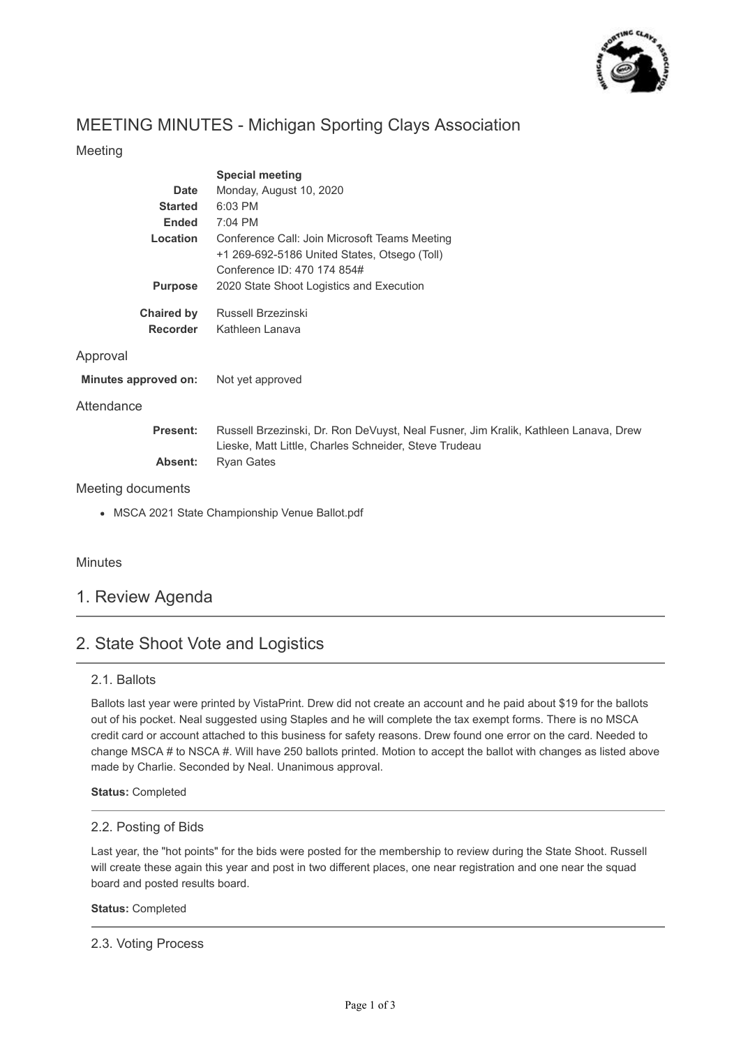

# MEETING MINUTES - Michigan Sporting Clays Association

## Meeting

|                                                 | <b>Special meeting</b>                                                                                                                       |
|-------------------------------------------------|----------------------------------------------------------------------------------------------------------------------------------------------|
| Date                                            | Monday, August 10, 2020                                                                                                                      |
| <b>Started</b>                                  | 6:03 PM                                                                                                                                      |
| <b>Ended</b>                                    | 7:04 PM                                                                                                                                      |
| Location                                        | Conference Call: Join Microsoft Teams Meeting                                                                                                |
|                                                 | +1 269-692-5186 United States, Otsego (Toll)                                                                                                 |
|                                                 | Conference ID: 470 174 854#                                                                                                                  |
| <b>Purpose</b>                                  | 2020 State Shoot Logistics and Execution                                                                                                     |
| <b>Chaired by</b>                               | Russell Brzezinski                                                                                                                           |
| <b>Recorder</b>                                 | Kathleen Lanava                                                                                                                              |
| Approval                                        |                                                                                                                                              |
| Minutes approved on:                            | Not yet approved                                                                                                                             |
| Attendance                                      |                                                                                                                                              |
| Present:                                        | Russell Brzezinski, Dr. Ron DeVuyst, Neal Fusner, Jim Kralik, Kathleen Lanava, Drew<br>Lieske, Matt Little, Charles Schneider, Steve Trudeau |
| Absent:                                         | <b>Ryan Gates</b>                                                                                                                            |
| Meeting documents                               |                                                                                                                                              |
| • MSCA 2021 State Championship Venue Ballot.pdf |                                                                                                                                              |
|                                                 |                                                                                                                                              |
|                                                 |                                                                                                                                              |

## **Minutes**

## 1. Review Agenda

# 2. State Shoot Vote and Logistics

### 2.1. Ballots

Ballots last year were printed by VistaPrint. Drew did not create an account and he paid about \$19 for the ballots out of his pocket. Neal suggested using Staples and he will complete the tax exempt forms. There is no MSCA credit card or account attached to this business for safety reasons. Drew found one error on the card. Needed to change MSCA # to NSCA #. Will have 250 ballots printed. Motion to accept the ballot with changes as listed above made by Charlie. Seconded by Neal. Unanimous approval.

**Status:** Completed

### 2.2. Posting of Bids

Last year, the "hot points" for the bids were posted for the membership to review during the State Shoot. Russell will create these again this year and post in two different places, one near registration and one near the squad board and posted results board.

### **Status:** Completed

### 2.3. Voting Process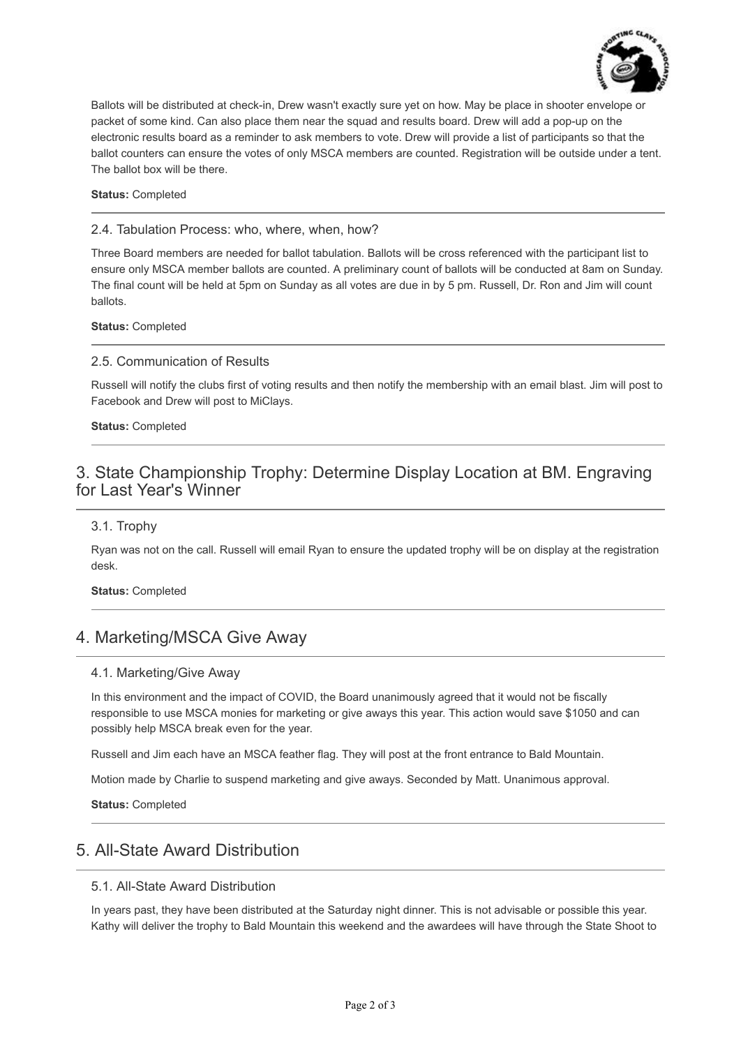

Ballots will be distributed at check-in, Drew wasn't exactly sure yet on how. May be place in shooter envelope or packet of some kind. Can also place them near the squad and results board. Drew will add a pop-up on the electronic results board as a reminder to ask members to vote. Drew will provide a list of participants so that the ballot counters can ensure the votes of only MSCA members are counted. Registration will be outside under a tent. The ballot box will be there.

**Status:** Completed

2.4. Tabulation Process: who, where, when, how?

Three Board members are needed for ballot tabulation. Ballots will be cross referenced with the participant list to ensure only MSCA member ballots are counted. A preliminary count of ballots will be conducted at 8am on Sunday. The final count will be held at 5pm on Sunday as all votes are due in by 5 pm. Russell, Dr. Ron and Jim will count ballots.

**Status:** Completed

#### 2.5. Communication of Results

Russell will notify the clubs first of voting results and then notify the membership with an email blast. Jim will post to Facebook and Drew will post to MiClays.

**Status:** Completed

## 3. State Championship Trophy: Determine Display Location at BM. Engraving for Last Year's Winner

#### 3.1. Trophy

Ryan was not on the call. Russell will email Ryan to ensure the updated trophy will be on display at the registration desk.

**Status:** Completed

## 4. Marketing/MSCA Give Away

### 4.1. Marketing/Give Away

In this environment and the impact of COVID, the Board unanimously agreed that it would not be fiscally responsible to use MSCA monies for marketing or give aways this year. This action would save \$1050 and can possibly help MSCA break even for the year.

Russell and Jim each have an MSCA feather flag. They will post at the front entrance to Bald Mountain.

Motion made by Charlie to suspend marketing and give aways. Seconded by Matt. Unanimous approval.

**Status:** Completed

## 5. All-State Award Distribution

#### 5.1. All-State Award Distribution

In years past, they have been distributed at the Saturday night dinner. This is not advisable or possible this year. Kathy will deliver the trophy to Bald Mountain this weekend and the awardees will have through the State Shoot to